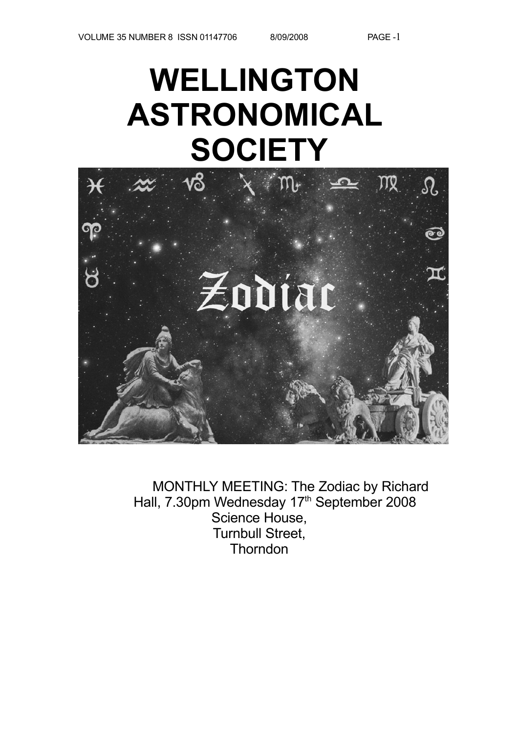# **WELLINGTON ASTRONOMICAL SOCIETY**



MONTHLY MEETING: The Zodiac by Richard Hall, 7.30pm Wednesday 17<sup>th</sup> September 2008 Science House, Turnbull Street, **Thorndon**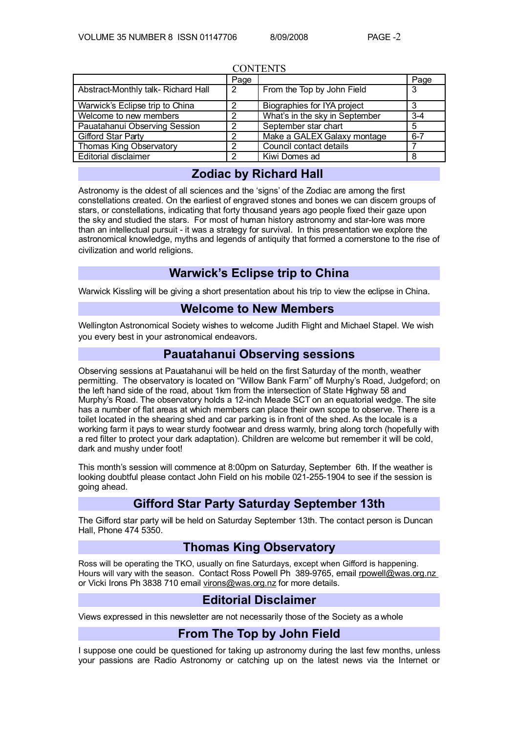| <b>CUNTENIS</b>                    |      |                                |         |  |
|------------------------------------|------|--------------------------------|---------|--|
|                                    | Page |                                | Page    |  |
| Abstract-Monthly talk-Richard Hall | 2    | From the Top by John Field     | 3       |  |
| Warwick's Eclipse trip to China    | 2    | Biographies for IYA project    | 3       |  |
| Welcome to new members             | っ    | What's in the sky in September | $3-4$   |  |
| Pauatahanui Observing Session      | ົ    | September star chart           | 5       |  |
| Gifford Star Party                 | っ    | Make a GALEX Galaxy montage    | $6 - 7$ |  |
| Thomas King Observatory            | 2    | Council contact details        |         |  |
| <b>Editorial disclaimer</b>        | っ    | Kiwi Domes ad                  | 8       |  |

#### CONTENTS

## **Zodiac by Richard Hall**

Astronomy is the oldest of all sciences and the 'signs' of the Zodiac are among the first constellations created. On the earliest of engraved stones and bones we can discern groups of stars, or constellations, indicating that forty thousand years ago people fixed their gaze upon the sky and studied the stars. For most of human history astronomy and star-lore was more than an intellectual pursuit - it was a strategy for survival. In this presentation we explore the astronomical knowledge, myths and legends of antiquity that formed a cornerstone to the rise of civilization and world religions.

### **Warwick's Eclipse trip to China**

Warwick Kissling will be giving a short presentation about his trip to view the eclipse in China.

#### **Welcome to New Members**

Wellington Astronomical Society wishes to welcome Judith Flight and Michael Stapel. We wish you every best in your astronomical endeavors.

### **Pauatahanui Observing sessions**

Observing sessions at Pauatahanui will be held on the first Saturday of the month, weather permitting. The observatory is located on "Willow Bank Farm" off Murphy's Road, Judgeford; on the left hand side of the road, about 1km from the intersection of State Highway 58 and Murphy's Road. The observatory holds a 12-inch Meade SCT on an equatorial wedge. The site has a number of flat areas at which members can place their own scope to observe. There is a toilet located in the shearing shed and car parking is in front of the shed. As the locale is a working farm it pays to wear sturdy footwear and dress warmly, bring along torch (hopefully with a red filter to protect your dark adaptation). Children are welcome but remember it will be cold, dark and mushy under foot!

This month's session will commence at 8:00pm on Saturday, September 6th. If the weather is looking doubtful please contact John Field on his mobile 021-255-1904 to see if the session is going ahead.

## **Gifford Star Party Saturday September 13th**

The Gifford star party will be held on Saturday September 13th. The contact person is Duncan Hall, Phone 474 5350.

### **Thomas King Observatory**

Ross will be operating the TKO, usually on fine Saturdays, except when Gifford is happening. Hours will vary with the season. Contact Ross Powell Ph 389-9765, email [rpowell@was.org.nz](mailto:rpowell@astronomy.wellington.net.nz) or Vicki Irons Ph 3838 710 email [virons@was.org.nz](mailto:virons@astronomy.wellington.net.nz) for more details.

## **Editorial Disclaimer**

Views expressed in this newsletter are not necessarily those of the Society as a whole

### **From The Top by John Field**

I suppose one could be questioned for taking up astronomy during the last few months, unless your passions are Radio Astronomy or catching up on the latest news via the Internet or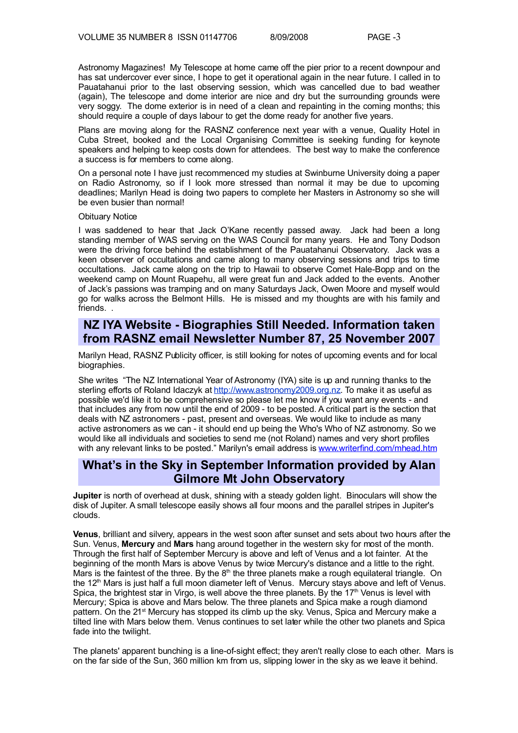Astronomy Magazines! My Telescope at home came off the pier prior to a recent downpour and has sat undercover ever since, I hope to get it operational again in the near future. I called in to Pauatahanui prior to the last observing session, which was cancelled due to bad weather (again), The telescope and dome interior are nice and dry but the surrounding grounds were very soggy. The dome exterior is in need of a clean and repainting in the coming months; this should require a couple of days labour to get the dome ready for another five years.

Plans are moving along for the RASNZ conference next year with a venue, Quality Hotel in Cuba Street, booked and the Local Organising Committee is seeking funding for keynote speakers and helping to keep costs down for attendees. The best way to make the conference a success is for members to come along.

On a personal note I have just recommenced my studies at Swinburne University doing a paper on Radio Astronomy, so if I look more stressed than normal it may be due to upcoming deadlines; Marilyn Head is doing two papers to complete her Masters in Astronomy so she will be even busier than normal!

#### Obituary Notice

I was saddened to hear that Jack O'Kane recently passed away. Jack had been a long standing member of WAS serving on the WAS Council for many years. He and Tony Dodson were the driving force behind the establishment of the Pauatahanui Observatory. Jack was a keen observer of occultations and came along to many observing sessions and trips to time occultations. Jack came along on the trip to Hawaii to observe Comet Hale-Bopp and on the weekend camp on Mount Ruapehu, all were great fun and Jack added to the events. Another of Jack's passions was tramping and on many Saturdays Jack, Owen Moore and myself would go for walks across the Belmont Hills. He is missed and my thoughts are with his family and friends. .

#### **NZ IYA Website - Biographies Still Needed. Information taken from RASNZ email Newsletter Number 87, 25 November 2007**

Marilyn Head, RASNZ Publicity officer, is still looking for notes of upcoming events and for local biographies.

She writes "The NZ International Year of Astronomy (IYA) site is up and running thanks to the sterling efforts of Roland Idaczyk at [http://www.astronomy2009.org.nz.](http://www.astronomy2009.org.nz/) To make it as useful as possible we'd like it to be comprehensive so please let me know if you want any events - and that includes any from now until the end of 2009 - to be posted. A critical part is the section that deals with NZ astronomers - past, present and overseas. We would like to include as many active astronomers as we can - it should end up being the Who's Who of NZ astronomy. So we would like all individuals and societies to send me (not Roland) names and very short profiles with any relevant links to be posted." Marilyn's email address is [www.writerfind.com/mhead.htm](http://www.writerfind.com/mhead.htm)

#### **What's in the Sky in September Information provided by Alan Gilmore Mt John Observatory**

**Jupiter** is north of overhead at dusk, shining with a steady golden light. Binoculars will show the disk of Jupiter. A small telescope easily shows all four moons and the parallel stripes in Jupiter's clouds.

**Venus**, brilliant and silvery, appears in the west soon after sunset and sets about two hours after the Sun. Venus, **Mercury** and **Mars** hang around together in the western sky for most of the month. Through the first half of September Mercury is above and left of Venus and a lot fainter. At the beginning of the month Mars is above Venus by twice Mercury's distance and a little to the right. Mars is the faintest of the three. By the  $8<sup>th</sup>$  the three planets make a rough equilateral triangle. On the 12<sup>th</sup> Mars is just half a full moon diameter left of Venus. Mercury stays above and left of Venus. Spica, the brightest star in Virgo, is well above the three planets. By the  $17<sup>th</sup>$  Venus is level with Mercury; Spica is above and Mars below. The three planets and Spica make a rough diamond pattern. On the 21<sup>st</sup> Mercury has stopped its climb up the sky. Venus, Spica and Mercury make a tilted line with Mars below them. Venus continues to set later while the other two planets and Spica fade into the twilight.

The planets' apparent bunching is a line-of-sight effect; they aren't really close to each other. Mars is on the far side of the Sun, 360 million km from us, slipping lower in the sky as we leave it behind.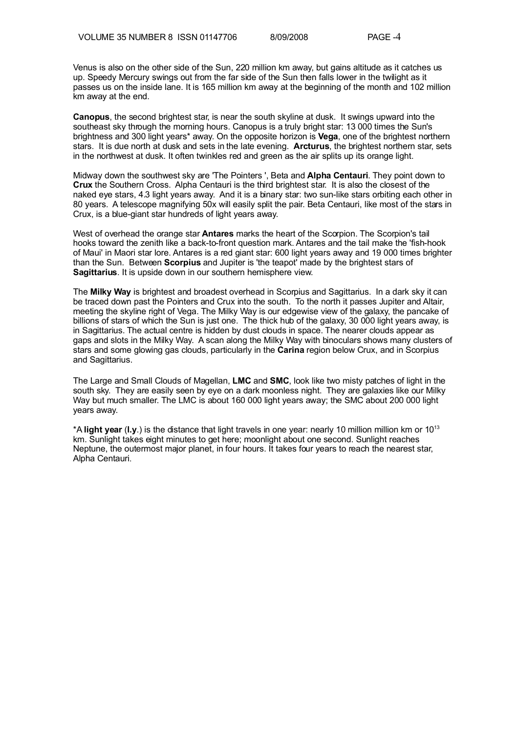Venus is also on the other side of the Sun, 220 million km away, but gains altitude as it catches us up. Speedy Mercury swings out from the far side of the Sun then falls lower in the twilight as it passes us on the inside lane. It is 165 million km away at the beginning of the month and 102 million km away at the end.

**Canopus**, the second brightest star, is near the south skyline at dusk. It swings upward into the southeast sky through the morning hours. Canopus is a truly bright star: 13 000 times the Sun's brightness and 300 light years\* away. On the opposite horizon is **Vega**, one of the brightest northern stars. It is due north at dusk and sets in the late evening. **Arcturus**, the brightest northern star, sets in the northwest at dusk. It often twinkles red and green as the air splits up its orange light.

Midway down the southwest sky are 'The Pointers ', Beta and **Alpha Centauri**. They point down to **Crux** the Southern Cross. Alpha Centauri is the third brightest star. It is also the closest of the naked eye stars, 4.3 light years away. And it is a binary star: two sun-like stars orbiting each other in 80 years. A telescope magnifying 50x will easily split the pair. Beta Centauri, like most of the stars in Crux, is a blue-giant star hundreds of light years away.

West of overhead the orange star **Antares** marks the heart of the Scorpion. The Scorpion's tail hooks toward the zenith like a back-to-front question mark. Antares and the tail make the 'fish-hook of Maui' in Maori star lore. Antares is a red giant star: 600 light years away and 19 000 times brighter than the Sun. Between **Scorpius** and Jupiter is 'the teapot' made by the brightest stars of **Sagittarius**. It is upside down in our southern hemisphere view.

The **Milky Way** is brightest and broadest overhead in Scorpius and Sagittarius. In a dark sky it can be traced down past the Pointers and Crux into the south. To the north it passes Jupiter and Altair, meeting the skyline right of Vega. The Milky Way is our edgewise view of the galaxy, the pancake of billions of stars of which the Sun is just one. The thick hub of the galaxy, 30 000 light years away, is in Sagittarius. The actual centre is hidden by dust clouds in space. The nearer clouds appear as gaps and slots in the Milky Way. A scan along the Milky Way with binoculars shows many clusters of stars and some glowing gas clouds, particularly in the **Carina** region below Crux, and in Scorpius and Sagittarius.

The Large and Small Clouds of Magellan, **LMC** and **SMC**, look like two misty patches of light in the south sky. They are easily seen by eye on a dark moonless night. They are galaxies like our Milky Way but much smaller. The LMC is about 160 000 light years away; the SMC about 200 000 light years away.

\*A **light year** (**l.y**.) is the distance that light travels in one year: nearly 10 million million km or 10 13 km. Sunlight takes eight minutes to get here; moonlight about one second. Sunlight reaches Neptune, the outermost major planet, in four hours. It takes four years to reach the nearest star, Alpha Centauri.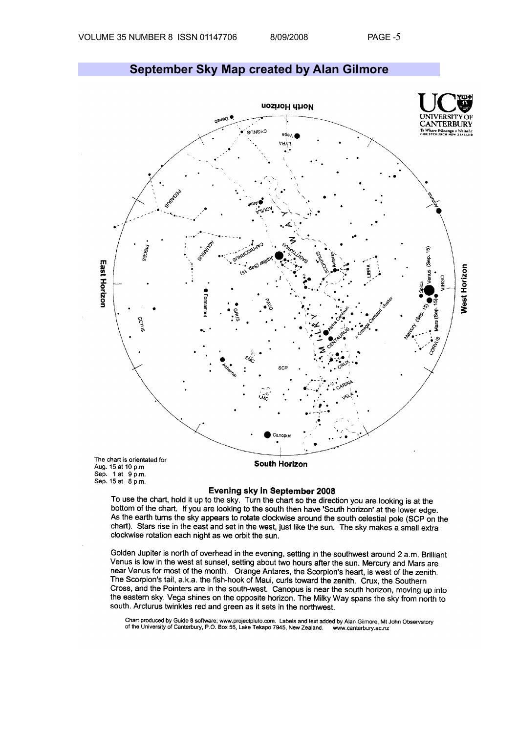Sep. 15 at 8 p.m.



Evening sky in September 2008

To use the chart, hold it up to the sky. Turn the chart so the direction you are looking is at the bottom of the chart. If you are looking to the south then have 'South horizon' at the lower edge. As the earth turns the sky appears to rotate clockwise around the south celestial pole (SCP on the chart). Stars rise in the east and set in the west, just like the sun. The sky makes a small extra clockwise rotation each night as we orbit the sun.

Golden Jupiter is north of overhead in the evening, setting in the southwest around 2 a.m. Brilliant Venus is low in the west at sunset, setting about two hours after the sun. Mercury and Mars are near Venus for most of the month. Orange Antares, the Scorpion's heart, is west of the zenith. The Scorpion's tail, a.k.a. the fish-hook of Maui, curls toward the zenith. Crux, the Southern Cross, and the Pointers are in the south-west. Canopus is near the south horizon, moving up into the eastern sky. Vega shines on the opposite horizon. The Milky Way spans the sky from north to south. Arcturus twinkles red and green as it sets in the northwest.

Chart produced by Guide 8 software; www.projectpluto.com. Labels and text added by Alan Gilmore, Mt John Observatory<br>of the University of Canterbury, P.O. Box 56, Lake Tekapo 7945, New Zealand. www.canterbury.ac.nz

## **September Sky Map created by Alan Gilmore**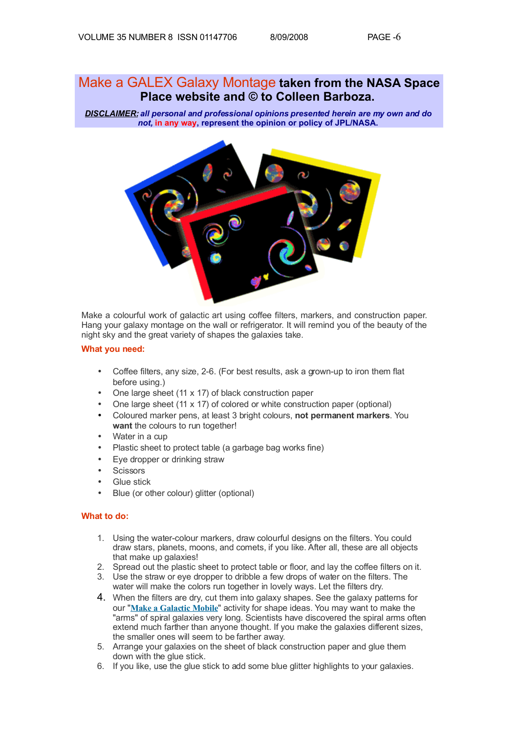## Make a GALEX Galaxy Montage **taken from the NASA Space Place website and © to Colleen Barboza.**

*DISCLAIMER: all personal and professional opinions presented herein are my own and do not,* **in any way, represent the opinion or policy of JPL/NASA.**



Make a colourful work of galactic art using coffee filters, markers, and construction paper. Hang your galaxy montage on the wall or refrigerator. It will remind you of the beauty of the night sky and the great variety of shapes the galaxies take.

#### **What you need:**

- Coffee filters, any size, 2-6. (For best results, ask a grown-up to iron them flat before using.)
- One large sheet (11 x 17) of black construction paper
- One large sheet (11 x 17) of colored or white construction paper (optional)
- Coloured marker pens, at least 3 bright colours, **not permanent markers**. You want the colours to run together!
- Water in a cup
- Plastic sheet to protect table (a garbage bag works fine)
- Eye dropper or drinking straw
- **Scissors**
- **Glue stick**
- Blue (or other colour) glitter (optional)

#### **What to do:**

- 1. Using the water-colour markers, draw colourful designs on the filters. You could draw stars, planets, moons, and comets, if you like. After all, these are all objects that make up galaxies!
- 2. Spread out the plastic sheet to protect table or floor, and lay the coffee filters on it.
- 3. Use the straw or eye dropper to dribble a few drops of water on the filters. The water will make the colors run together in lovely ways. Let the filters dry.
- 4. When the filters are dry, cut them into galaxy shapes. See the galaxy patterns for our "**[Make a Galactic Mobile](http://spaceplace.jpl.nasa.gov/en/kids/galaxies.pdf)**" activity for shape ideas. You may want to make the "arms" of spiral galaxies very long. Scientists have discovered the spiral arms often extend much farther than anyone thought. If you make the galaxies different sizes, the smaller ones will seem to be farther away.
- 5. Arrange your galaxies on the sheet of black construction paper and glue them down with the glue stick.
- 6. If you like, use the glue stick to add some blue glitter highlights to your galaxies.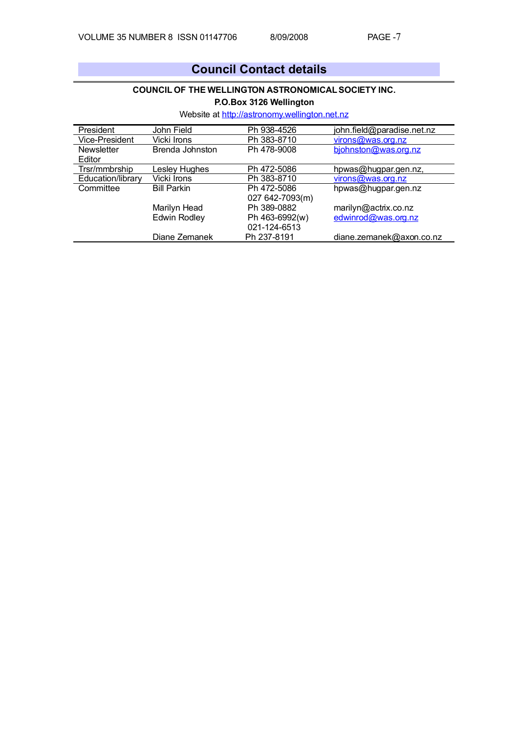# **Council Contact details**

#### **COUNCIL OF THE WELLINGTON ASTRONOMICAL SOCIETY INC.**

**P.O.Box 3126 Wellington**

Website at [http://astronomy.wellington.net.nz](http://astronomy.wellington.net.nz/)

| President         | John Field          | Ph 938-4526     | john.field@paradise.net.nz |
|-------------------|---------------------|-----------------|----------------------------|
| Vice-President    | Vicki Irons         | Ph 383-8710     | virons@was.org.nz          |
| <b>Newsletter</b> | Brenda Johnston     | Ph 478-9008     | bjohnston@was.org.nz       |
| Editor            |                     |                 |                            |
| Trsr/mmbrship     | Lesley Hughes       | Ph 472-5086     | hpwas@hugpar.gen.nz,       |
| Education/library | Vicki Irons         | Ph 383-8710     | virons@was.org.nz          |
| Committee         | <b>Bill Parkin</b>  | Ph 472-5086     | hpwas@hugpar.gen.nz        |
|                   |                     | 027 642-7093(m) |                            |
|                   | Marilyn Head        | Ph 389-0882     | marilyn@actrix.co.nz       |
|                   | <b>Edwin Rodley</b> | Ph 463-6992(w)  | edwinrod@was.org.nz        |
|                   |                     | 021-124-6513    |                            |
|                   | Diane Zemanek       | Ph 237-8191     | diane.zemanek@axon.co.nz   |